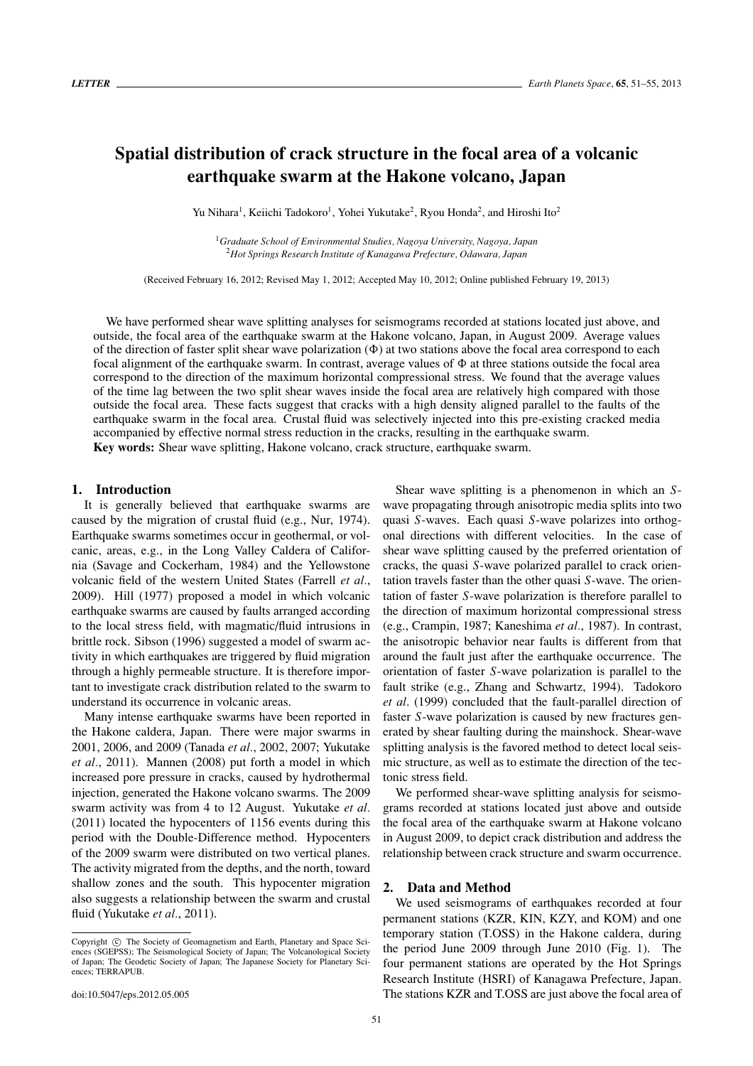# **Spatial distribution of crack structure in the focal area of a volcanic earthquake swarm at the Hakone volcano, Japan**

Yu Nihara<sup>1</sup>, Keiichi Tadokoro<sup>1</sup>, Yohei Yukutake<sup>2</sup>, Ryou Honda<sup>2</sup>, and Hiroshi Ito<sup>2</sup>

<sup>1</sup>*Graduate School of Environmental Studies, Nagoya University, Nagoya, Japan* <sup>2</sup>*Hot Springs Research Institute of Kanagawa Prefecture, Odawara, Japan*

(Received February 16, 2012; Revised May 1, 2012; Accepted May 10, 2012; Online published February 19, 2013)

We have performed shear wave splitting analyses for seismograms recorded at stations located just above, and outside, the focal area of the earthquake swarm at the Hakone volcano, Japan, in August 2009. Average values of the direction of faster split shear wave polarization  $(\Phi)$  at two stations above the focal area correspond to each focal alignment of the earthquake swarm. In contrast, average values of  $\Phi$  at three stations outside the focal area correspond to the direction of the maximum horizontal compressional stress. We found that the average values of the time lag between the two split shear waves inside the focal area are relatively high compared with those outside the focal area. These facts suggest that cracks with a high density aligned parallel to the faults of the earthquake swarm in the focal area. Crustal fluid was selectively injected into this pre-existing cracked media accompanied by effective normal stress reduction in the cracks, resulting in the earthquake swarm. **Key words:** Shear wave splitting, Hakone volcano, crack structure, earthquake swarm.

## **1. Introduction**

It is generally believed that earthquake swarms are caused by the migration of crustal fluid (e.g., Nur, 1974). Earthquake swarms sometimes occur in geothermal, or volcanic, areas, e.g., in the Long Valley Caldera of California (Savage and Cockerham, 1984) and the Yellowstone volcanic field of the western United States (Farrell *et al.*, 2009). Hill (1977) proposed a model in which volcanic earthquake swarms are caused by faults arranged according to the local stress field, with magmatic/fluid intrusions in brittle rock. Sibson (1996) suggested a model of swarm activity in which earthquakes are triggered by fluid migration through a highly permeable structure. It is therefore important to investigate crack distribution related to the swarm to understand its occurrence in volcanic areas.

Many intense earthquake swarms have been reported in the Hakone caldera, Japan. There were major swarms in 2001, 2006, and 2009 (Tanada *et al.*, 2002, 2007; Yukutake *et al.*, 2011). Mannen (2008) put forth a model in which increased pore pressure in cracks, caused by hydrothermal injection, generated the Hakone volcano swarms. The 2009 swarm activity was from 4 to 12 August. Yukutake *et al.* (2011) located the hypocenters of 1156 events during this period with the Double-Difference method. Hypocenters of the 2009 swarm were distributed on two vertical planes. The activity migrated from the depths, and the north, toward shallow zones and the south. This hypocenter migration also suggests a relationship between the swarm and crustal fluid (Yukutake *et al.*, 2011).

Shear wave splitting is a phenomenon in which an *S*wave propagating through anisotropic media splits into two quasi *S*-waves. Each quasi *S*-wave polarizes into orthogonal directions with different velocities. In the case of shear wave splitting caused by the preferred orientation of cracks, the quasi *S*-wave polarized parallel to crack orientation travels faster than the other quasi *S*-wave. The orientation of faster *S*-wave polarization is therefore parallel to the direction of maximum horizontal compressional stress (e.g., Crampin, 1987; Kaneshima *et al.*, 1987). In contrast, the anisotropic behavior near faults is different from that around the fault just after the earthquake occurrence. The orientation of faster *S*-wave polarization is parallel to the fault strike (e.g., Zhang and Schwartz, 1994). Tadokoro *et al*. (1999) concluded that the fault-parallel direction of faster *S*-wave polarization is caused by new fractures generated by shear faulting during the mainshock. Shear-wave splitting analysis is the favored method to detect local seismic structure, as well as to estimate the direction of the tectonic stress field.

We performed shear-wave splitting analysis for seismograms recorded at stations located just above and outside the focal area of the earthquake swarm at Hakone volcano in August 2009, to depict crack distribution and address the relationship between crack structure and swarm occurrence.

#### **2. Data and Method**

We used seismograms of earthquakes recorded at four permanent stations (KZR, KIN, KZY, and KOM) and one temporary station (T.OSS) in the Hakone caldera, during the period June 2009 through June 2010 (Fig. 1). The four permanent stations are operated by the Hot Springs Research Institute (HSRI) of Kanagawa Prefecture, Japan. The stations KZR and T.OSS are just above the focal area of

Copyright  $\odot$  The Society of Geomagnetism and Earth, Planetary and Space Sciences (SGEPSS); The Seismological Society of Japan; The Volcanological Society of Japan; The Geodetic Society of Japan; The Japanese Society for Planetary Sciences; TERRAPUB.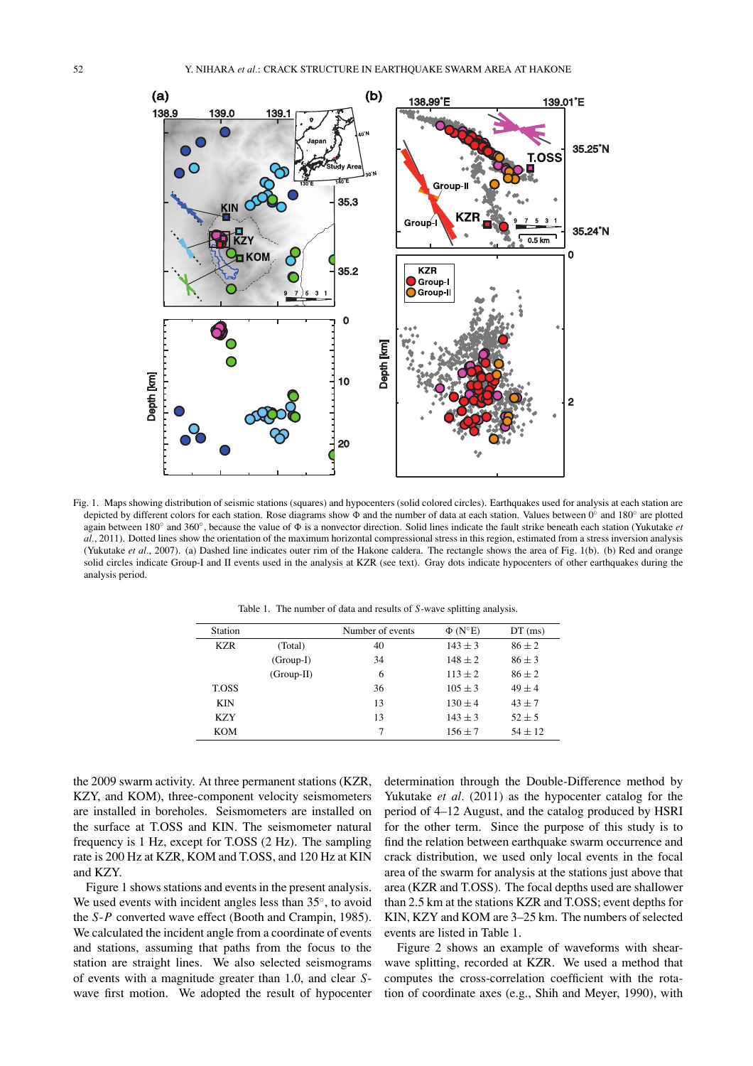

Fig. 1. Maps showing distribution of seismic stations (squares) and hypocenters (solid colored circles). Earthquakes used for analysis at each station are depicted by different colors for each station. Rose diagrams show  $\Phi$  and the number of data at each station. Values between 0° and 180° are plotted again between 180◦ and 360◦, because the value of is a nonvector direction. Solid lines indicate the fault strike beneath each station (Yukutake *et al.*, 2011). Dotted lines show the orientation of the maximum horizontal compressional stress in this region, estimated from a stress inversion analysis (Yukutake *et al.*, 2007). (a) Dashed line indicates outer rim of the Hakone caldera. The rectangle shows the area of Fig. 1(b). (b) Red and orange solid circles indicate Group-I and II events used in the analysis at KZR (see text). Gray dots indicate hypocenters of other earthquakes during the analysis period.

Table 1. The number of data and results of *S*-wave splitting analysis.

| Station      |              | Number of events | $\Phi$ (N°E) | $DT$ (ms)  |
|--------------|--------------|------------------|--------------|------------|
| <b>KZR</b>   | (Total)      | 40               | $143 \pm 3$  | $86 + 2$   |
|              | $(Group-I)$  | 34               | $148 + 2$    | $86 \pm 3$ |
|              | $(Group-II)$ | 6                | $113 + 2$    | $86 + 2$   |
| <b>T.OSS</b> |              | 36               | $105 \pm 3$  | $49 + 4$   |
| <b>KIN</b>   |              | 13               | $130 \pm 4$  | $43 + 7$   |
| <b>KZY</b>   |              | 13               | $143 \pm 3$  | $52 + 5$   |
| <b>KOM</b>   |              | 7                | $156 \pm 7$  | $54 + 12$  |

the 2009 swarm activity. At three permanent stations (KZR, KZY, and KOM), three-component velocity seismometers are installed in boreholes. Seismometers are installed on the surface at T.OSS and KIN. The seismometer natural frequency is 1 Hz, except for T.OSS (2 Hz). The sampling rate is 200 Hz at KZR, KOM and T.OSS, and 120 Hz at KIN and KZY.

Figure 1 shows stations and events in the present analysis. We used events with incident angles less than 35◦, to avoid the *S*-*P* converted wave effect (Booth and Crampin, 1985). We calculated the incident angle from a coordinate of events and stations, assuming that paths from the focus to the station are straight lines. We also selected seismograms of events with a magnitude greater than 1.0, and clear *S*wave first motion. We adopted the result of hypocenter determination through the Double-Difference method by Yukutake *et al.* (2011) as the hypocenter catalog for the period of 4–12 August, and the catalog produced by HSRI for the other term. Since the purpose of this study is to find the relation between earthquake swarm occurrence and crack distribution, we used only local events in the focal area of the swarm for analysis at the stations just above that area (KZR and T.OSS). The focal depths used are shallower than 2.5 km at the stations KZR and T.OSS; event depths for KIN, KZY and KOM are 3–25 km. The numbers of selected events are listed in Table 1.

Figure 2 shows an example of waveforms with shearwave splitting, recorded at KZR. We used a method that computes the cross-correlation coefficient with the rotation of coordinate axes (e.g., Shih and Meyer, 1990), with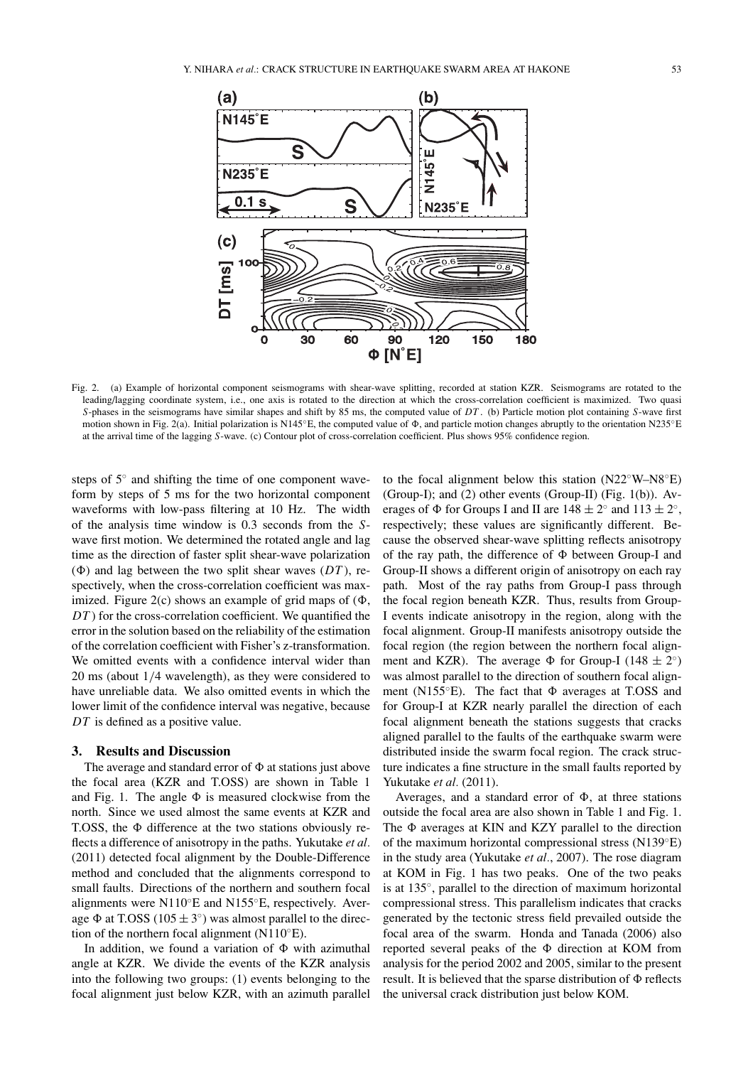

Fig. 2. (a) Example of horizontal component seismograms with shear-wave splitting, recorded at station KZR. Seismograms are rotated to the leading/lagging coordinate system, i.e., one axis is rotated to the direction at which the cross-correlation coefficient is maximized. Two quasi *S*-phases in the seismograms have similar shapes and shift by 85 ms, the computed value of *DT* . (b) Particle motion plot containing *S*-wave first motion shown in Fig. 2(a). Initial polarization is N145<sup>°</sup>E, the computed value of  $\Phi$ , and particle motion changes abruptly to the orientation N235<sup>°</sup>E at the arrival time of the lagging *S*-wave. (c) Contour plot of cross-correlation coefficient. Plus shows 95% confidence region.

steps of 5◦ and shifting the time of one component waveform by steps of 5 ms for the two horizontal component waveforms with low-pass filtering at 10 Hz. The width of the analysis time window is 0.3 seconds from the *S*wave first motion. We determined the rotated angle and lag time as the direction of faster split shear-wave polarization ( $\Phi$ ) and lag between the two split shear waves ( $DT$ ), respectively, when the cross-correlation coefficient was maximized. Figure 2(c) shows an example of grid maps of  $(\Phi,$ *DT*) for the cross-correlation coefficient. We quantified the error in the solution based on the reliability of the estimation of the correlation coefficient with Fisher's z-transformation. We omitted events with a confidence interval wider than 20 ms (about 1/4 wavelength), as they were considered to have unreliable data. We also omitted events in which the lower limit of the confidence interval was negative, because *DT* is defined as a positive value.

### **3. Results and Discussion**

The average and standard error of  $\Phi$  at stations just above the focal area (KZR and T.OSS) are shown in Table 1 and Fig. 1. The angle  $\Phi$  is measured clockwise from the north. Since we used almost the same events at KZR and T.OSS, the  $\Phi$  difference at the two stations obviously reflects a difference of anisotropy in the paths. Yukutake *et al.* (2011) detected focal alignment by the Double-Difference method and concluded that the alignments correspond to small faults. Directions of the northern and southern focal alignments were N110◦E and N155◦E, respectively. Average  $\Phi$  at T.OSS (105  $\pm$  3°) was almost parallel to the direction of the northern focal alignment (N110 $\mathrm{^{\circ}E}$ ).

In addition, we found a variation of  $\Phi$  with azimuthal angle at KZR. We divide the events of the KZR analysis into the following two groups: (1) events belonging to the focal alignment just below KZR, with an azimuth parallel

to the focal alignment below this station (N22◦W–N8◦E) (Group-I); and (2) other events (Group-II) (Fig. 1(b)). Averages of  $\Phi$  for Groups I and II are  $148 \pm 2^\circ$  and  $113 \pm 2^\circ$ , respectively; these values are significantly different. Because the observed shear-wave splitting reflects anisotropy of the ray path, the difference of  $\Phi$  between Group-I and Group-II shows a different origin of anisotropy on each ray path. Most of the ray paths from Group-I pass through the focal region beneath KZR. Thus, results from Group-I events indicate anisotropy in the region, along with the focal alignment. Group-II manifests anisotropy outside the focal region (the region between the northern focal alignment and KZR). The average  $\Phi$  for Group-I (148  $\pm$  2°) was almost parallel to the direction of southern focal alignment (N155 $\degree$ E). The fact that  $\Phi$  averages at T.OSS and for Group-I at KZR nearly parallel the direction of each focal alignment beneath the stations suggests that cracks aligned parallel to the faults of the earthquake swarm were distributed inside the swarm focal region. The crack structure indicates a fine structure in the small faults reported by Yukutake *et al.* (2011).

Averages, and a standard error of  $\Phi$ , at three stations outside the focal area are also shown in Table 1 and Fig. 1. The  $\Phi$  averages at KIN and KZY parallel to the direction of the maximum horizontal compressional stress (N139◦E) in the study area (Yukutake *et al.*, 2007). The rose diagram at KOM in Fig. 1 has two peaks. One of the two peaks is at 135◦, parallel to the direction of maximum horizontal compressional stress. This parallelism indicates that cracks generated by the tectonic stress field prevailed outside the focal area of the swarm. Honda and Tanada (2006) also reported several peaks of the  $\Phi$  direction at KOM from analysis for the period 2002 and 2005, similar to the present result. It is believed that the sparse distribution of  $\Phi$  reflects the universal crack distribution just below KOM.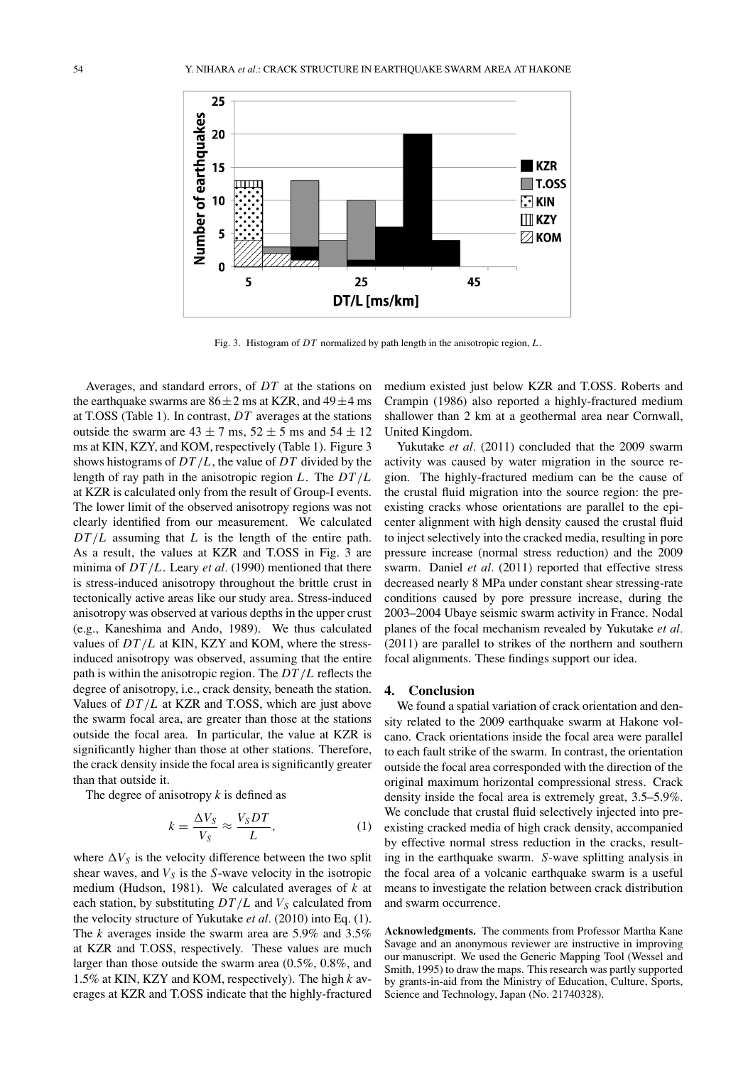

Fig. 3. Histogram of *DT* normalized by path length in the anisotropic region, *L*.

Averages, and standard errors, of *DT* at the stations on the earthquake swarms are  $86 \pm 2$  ms at KZR, and  $49 \pm 4$  ms at T.OSS (Table 1). In contrast, *DT* averages at the stations outside the swarm are  $43 \pm 7$  ms,  $52 \pm 5$  ms and  $54 \pm 12$ ms at KIN, KZY, and KOM, respectively (Table 1). Figure 3 shows histograms of *DT*/*L*, the value of *DT* divided by the length of ray path in the anisotropic region *L*. The *DT*/*L* at KZR is calculated only from the result of Group-I events. The lower limit of the observed anisotropy regions was not clearly identified from our measurement. We calculated *DT*/*L* assuming that *L* is the length of the entire path. As a result, the values at KZR and T.OSS in Fig. 3 are minima of *DT*/*L*. Leary *et al.* (1990) mentioned that there is stress-induced anisotropy throughout the brittle crust in tectonically active areas like our study area. Stress-induced anisotropy was observed at various depths in the upper crust (e.g., Kaneshima and Ando, 1989). We thus calculated values of *DT*/*L* at KIN, KZY and KOM, where the stressinduced anisotropy was observed, assuming that the entire path is within the anisotropic region. The *DT*/*L* reflects the degree of anisotropy, i.e., crack density, beneath the station. Values of *DT*/*L* at KZR and T.OSS, which are just above the swarm focal area, are greater than those at the stations outside the focal area. In particular, the value at KZR is significantly higher than those at other stations. Therefore, the crack density inside the focal area is significantly greater than that outside it.

The degree of anisotropy *k* is defined as

$$
k = \frac{\Delta V_S}{V_S} \approx \frac{V_S DT}{L},\tag{1}
$$

where  $\Delta V_S$  is the velocity difference between the two split shear waves, and  $V<sub>S</sub>$  is the *S*-wave velocity in the isotropic medium (Hudson, 1981). We calculated averages of *k* at each station, by substituting  $DT/L$  and  $V_S$  calculated from the velocity structure of Yukutake *et al.* (2010) into Eq. (1). The *k* averages inside the swarm area are 5.9% and 3.5% at KZR and T.OSS, respectively. These values are much larger than those outside the swarm area (0.5%, 0.8%, and 1.5% at KIN, KZY and KOM, respectively). The high *k* averages at KZR and T.OSS indicate that the highly-fractured

medium existed just below KZR and T.OSS. Roberts and Crampin (1986) also reported a highly-fractured medium shallower than 2 km at a geothermal area near Cornwall, United Kingdom.

Yukutake *et al.* (2011) concluded that the 2009 swarm activity was caused by water migration in the source region. The highly-fractured medium can be the cause of the crustal fluid migration into the source region: the preexisting cracks whose orientations are parallel to the epicenter alignment with high density caused the crustal fluid to inject selectively into the cracked media, resulting in pore pressure increase (normal stress reduction) and the 2009 swarm. Daniel *et al.* (2011) reported that effective stress decreased nearly 8 MPa under constant shear stressing-rate conditions caused by pore pressure increase, during the 2003–2004 Ubaye seismic swarm activity in France. Nodal planes of the focal mechanism revealed by Yukutake *et al.* (2011) are parallel to strikes of the northern and southern focal alignments. These findings support our idea.

### **4. Conclusion**

We found a spatial variation of crack orientation and density related to the 2009 earthquake swarm at Hakone volcano. Crack orientations inside the focal area were parallel to each fault strike of the swarm. In contrast, the orientation outside the focal area corresponded with the direction of the original maximum horizontal compressional stress. Crack density inside the focal area is extremely great, 3.5–5.9%. We conclude that crustal fluid selectively injected into preexisting cracked media of high crack density, accompanied by effective normal stress reduction in the cracks, resulting in the earthquake swarm. *S*-wave splitting analysis in the focal area of a volcanic earthquake swarm is a useful means to investigate the relation between crack distribution and swarm occurrence.

**Acknowledgments.** The comments from Professor Martha Kane Savage and an anonymous reviewer are instructive in improving our manuscript. We used the Generic Mapping Tool (Wessel and Smith, 1995) to draw the maps. This research was partly supported by grants-in-aid from the Ministry of Education, Culture, Sports, Science and Technology, Japan (No. 21740328).